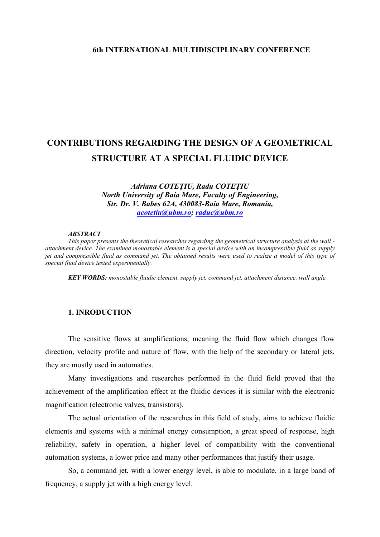### **6th INTERNATIONAL MULTIDISCIPLINARY CONFERENCE**

# **CONTRIBUTIONS REGARDING THE DESIGN OF A GEOMETRICAL STRUCTURE AT A SPECIAL FLUIDIC DEVICE**

*Adriana COTEŢIU, Radu COTEŢIU North University of Baia Mare, Faculty of Engineering, Str. Dr. V. Babes 62A, 430083-Baia Mare, Romania, [acotetiu@ubm.ro;](mailto:acotetiu@ubm.ro) [raduc@ubm.ro](mailto:raduc@ubm.ro)*

#### *ABSTRACT*

*This paper presents the theoretical researches regarding the geometrical structure analysis at the wall attachment device. The examined monostable element is a special device with an incompressible fluid as supply jet and compressible fluid as command jet. The obtained results were used to realize a model of this type of special fluid device tested experimentally.* 

*KEY WORDS: monostable fluidic element, supply jet, command jet, attachment distance, wall angle.* 

### **1. INRODUCTION**

The sensitive flows at amplifications, meaning the fluid flow which changes flow direction, velocity profile and nature of flow, with the help of the secondary or lateral jets, they are mostly used in automatics.

Many investigations and researches performed in the fluid field proved that the achievement of the amplification effect at the fluidic devices it is similar with the electronic magnification (electronic valves, transistors).

The actual orientation of the researches in this field of study, aims to achieve fluidic elements and systems with a minimal energy consumption, a great speed of response, high reliability, safety in operation, a higher level of compatibility with the conventional automation systems, a lower price and many other performances that justify their usage.

So, a command jet, with a lower energy level, is able to modulate, in a large band of frequency, a supply jet with a high energy level.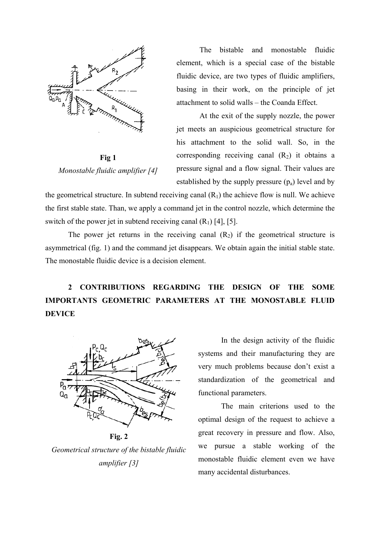

**Fig 1** *Monostable fluidic amplifier [4]* 

The bistable and monostable fluidic element, which is a special case of the bistable fluidic device, are two types of fluidic amplifiers, basing in their work, on the principle of jet attachment to solid walls – the Coanda Effect.

At the exit of the supply nozzle, the power jet meets an auspicious geometrical structure for his attachment to the solid wall. So, in the corresponding receiving canal  $(R_2)$  it obtains a pressure signal and a flow signal. Their values are established by the supply pressure  $(p_a)$  level and by

the geometrical structure. In subtend receiving canal  $(R<sub>1</sub>)$  the achieve flow is null. We achieve the first stable state. Than, we apply a command jet in the control nozzle, which determine the switch of the power jet in subtend receiving canal  $(R_1)$  [4], [5].

The power jet returns in the receiving canal  $(R_2)$  if the geometrical structure is asymmetrical (fig. 1) and the command jet disappears. We obtain again the initial stable state. The monostable fluidic device is a decision element.

**2 CONTRIBUTIONS REGARDING THE DESIGN OF THE SOME IMPORTANTS GEOMETRIC PARAMETERS AT THE MONOSTABLE FLUID DEVICE** 



**Fig. 2** 

*Geometrical structure of the bistable fluidic amplifier [3]* 

In the design activity of the fluidic systems and their manufacturing they are very much problems because don't exist a standardization of the geometrical and functional parameters.

The main criterions used to the optimal design of the request to achieve a great recovery in pressure and flow. Also, we pursue a stable working of the monostable fluidic element even we have many accidental disturbances.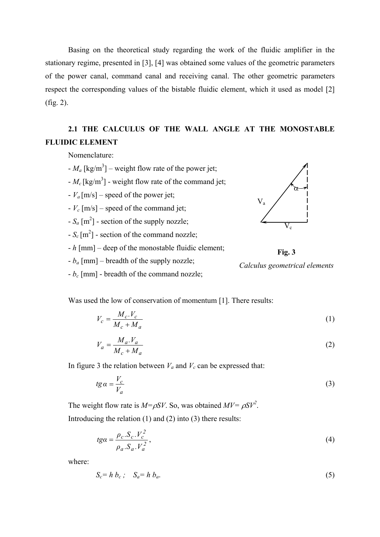Basing on the theoretical study regarding the work of the fluidic amplifier in the stationary regime, presented in [3], [4] was obtained some values of the geometric parameters of the power canal, command canal and receiving canal. The other geometric parameters respect the corresponding values of the bistable fluidic element, which it used as model [2] (fig. 2).

## **2.1 THE CALCULUS OF THE WALL ANGLE AT THE MONOSTABLE FLUIDIC ELEMENT**

Nomenclature:

- $-M_a$  [kg/m<sup>3</sup>] weight flow rate of the power jet;
- $-M_c$  [kg/m<sup>3</sup>] weight flow rate of the command jet;
- $-V_a$  [m/s] speed of the power jet;
- *Vc* [m/s] speed of the command jet;
- $-S_a$  [m<sup>2</sup>] section of the supply nozzle;
- $-S_c [m^2]$  section of the command nozzle;
- *h* [mm] deep of the monostable fluidic element;
- $b_a$  [mm] breadth of the supply nozzle;
- *bc* [mm] breadth of the command nozzle;



**Fig. 3**  *Calculus geometrical elements* 

Was used the low of conservation of momentum [1]. There results:

$$
V_c = \frac{M_c \cdot V_c}{M_c + M_a} \tag{1}
$$

$$
V_a = \frac{M_a V_a}{M_c + M_a} \tag{2}
$$

In figure 3 the relation between  $V_a$  and  $V_c$  can be expressed that:

$$
tg\alpha = \frac{V_c}{V_a} \tag{3}
$$

The weight flow rate is  $M = \rho SV$ . So, was obtained  $MV = \rho SV^2$ .

Introducing the relation  $(1)$  and  $(2)$  into  $(3)$  there results:

$$
t\mathbf{g}a = \frac{\rho_c \cdot S_c \cdot V_c^2}{\rho_a \cdot S_a \cdot V_a^2},\tag{4}
$$

where:

$$
S_c = h b_c; \quad S_a = h b_a. \tag{5}
$$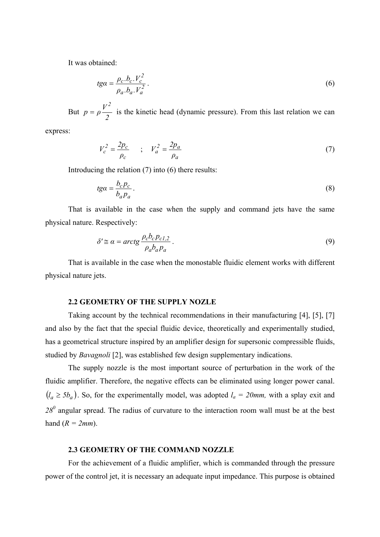It was obtained:

$$
t\mathbf{g}a = \frac{\rho_c.b_c.V_c^2}{\rho_a.b_a.V_a^2}.
$$
\n
$$
(6)
$$

But *2*  $p = \rho \frac{V}{A}$ *2*  $= \rho'$  is the kinetic head (dynamic pressure). From this last relation we can

express:

$$
V_c^2 = \frac{2p_c}{\rho_c} \qquad ; \quad V_a^2 = \frac{2p_a}{\rho_a} \tag{7}
$$

Introducing the relation (7) into (6) there results:

$$
t g a = \frac{b_c p_c}{b_a p_a}.
$$
\n<sup>(8)</sup>

That is available in the case when the supply and command jets have the same physical nature. Respectively:

$$
\delta' \cong \alpha = \arctg \frac{\rho_c b_c p_{c1,2}}{\rho_a b_a p_a} \,. \tag{9}
$$

That is available in the case when the monostable fluidic element works with different physical nature jets.

#### **2.2 GEOMETRY OF THE SUPPLY NOZLE**

Taking account by the technical recommendations in their manufacturing [4], [5], [7] and also by the fact that the special fluidic device, theoretically and experimentally studied, has a geometrical structure inspired by an amplifier design for supersonic compressible fluids, studied by *Bavagnoli* [2], was established few design supplementary indications.

The supply nozzle is the most important source of perturbation in the work of the fluidic amplifier. Therefore, the negative effects can be eliminated using longer power canal.  $(l_a \ge 5b_a)$ . So, for the experimentally model, was adopted  $l_a = 20$ *mm*, with a splay exit and 28<sup>0</sup> angular spread. The radius of curvature to the interaction room wall must be at the best hand  $(R = 2mm)$ .

#### **2.3 GEOMETRY OF THE COMMAND NOZZLE**

For the achievement of a fluidic amplifier, which is commanded through the pressure power of the control jet, it is necessary an adequate input impedance. This purpose is obtained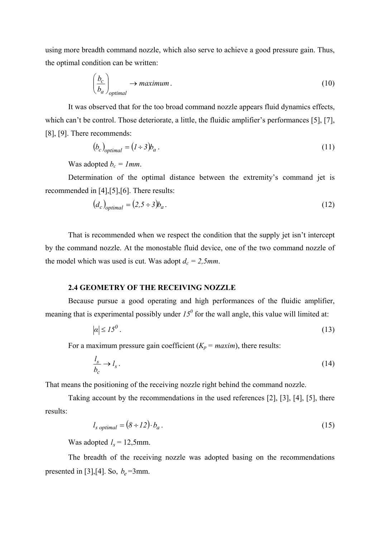using more breadth command nozzle, which also serve to achieve a good pressure gain. Thus, the optimal condition can be written:

$$
\left(\frac{b_c}{b_a}\right)_{optimal} \rightarrow maximum.
$$
\n(10)

It was observed that for the too broad command nozzle appears fluid dynamics effects, which can't be control. Those deteriorate, a little, the fluidic amplifier's performances [5], [7], [8], [9]. There recommends:

$$
(b_c)_{optimal} = (l \div 3)b_a \,. \tag{11}
$$

Was adopted  $b_c = 1$ *mm*.

Determination of the optimal distance between the extremity's command jet is recommended in [4],[5],[6]. There results:

$$
(d_c)_{optimal} = (2.5 \div 3)b_a. \tag{12}
$$

That is recommended when we respect the condition that the supply jet isn't intercept by the command nozzle. At the monostable fluid device, one of the two command nozzle of the model which was used is cut. Was adopt  $d_c = 2.5$ mm.

#### **2.4 GEOMETRY OF THE RECEIVING NOZZLE**

Because pursue a good operating and high performances of the fluidic amplifier, meaning that is experimental possibly under  $I_0^0$  for the wall angle, this value will limited at:

$$
|\alpha| \le 15^0 \,. \tag{13}
$$

For a maximum pressure gain coefficient  $(K_p = \text{maxim})$ , there results:

$$
\frac{l_s}{b_c} \to l_s \,. \tag{14}
$$

That means the positioning of the receiving nozzle right behind the command nozzle.

Taking account by the recommendations in the used references [2], [3], [4], [5], there results:

$$
l_{s\ optimal} = (8 \div 12) \cdot b_a \,. \tag{15}
$$

Was adopted  $l_s = 12,5$ mm.

The breadth of the receiving nozzle was adopted basing on the recommendations presented in [3],[4]. So,  $b_e$ =3mm.